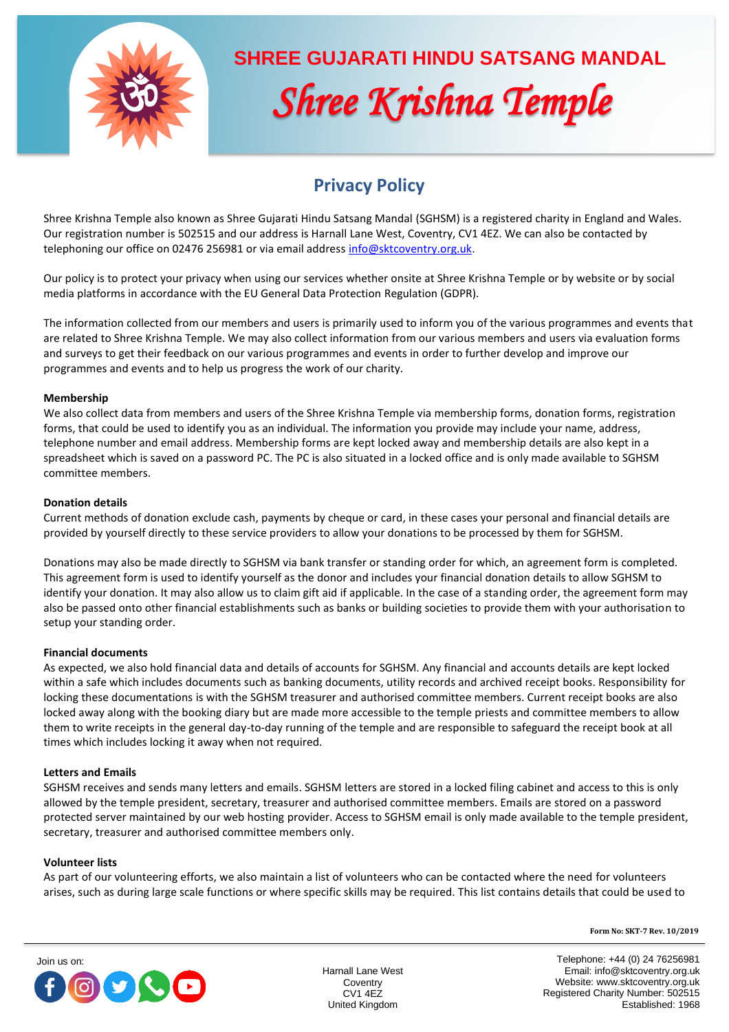

# **SHREE GUJARATI HINDU SATSANG MANDAL**  *Shree Krishna Temple*

# **Privacy Policy**

Shree Krishna Temple also known as Shree Gujarati Hindu Satsang Mandal (SGHSM) is a registered charity in England and Wales. Our registration number is 502515 and our address is Harnall Lane West, Coventry, CV1 4EZ. We can also be contacted by telephoning our office on 02476 256981 or via email addres[s info@sktcoventry.org.uk.](mailto:info@sktcoventry.org.uk)

Our policy is to protect your privacy when using our services whether onsite at Shree Krishna Temple or by website or by social media platforms in accordance with the EU General Data Protection Regulation (GDPR).

The information collected from our members and users is primarily used to inform you of the various programmes and events that are related to Shree Krishna Temple. We may also collect information from our various members and users via evaluation forms and surveys to get their feedback on our various programmes and events in order to further develop and improve our programmes and events and to help us progress the work of our charity.

# **Membership**

We also collect data from members and users of the Shree Krishna Temple via membership forms, donation forms, registration forms, that could be used to identify you as an individual. The information you provide may include your name, address, telephone number and email address. Membership forms are kept locked away and membership details are also kept in a spreadsheet which is saved on a password PC. The PC is also situated in a locked office and is only made available to SGHSM committee members.

# **Donation details**

Current methods of donation exclude cash, payments by cheque or card, in these cases your personal and financial details are provided by yourself directly to these service providers to allow your donations to be processed by them for SGHSM.

Donations may also be made directly to SGHSM via bank transfer or standing order for which, an agreement form is completed. This agreement form is used to identify yourself as the donor and includes your financial donation details to allow SGHSM to identify your donation. It may also allow us to claim gift aid if applicable. In the case of a standing order, the agreement form may also be passed onto other financial establishments such as banks or building societies to provide them with your authorisation to setup your standing order.

# **Financial documents**

As expected, we also hold financial data and details of accounts for SGHSM. Any financial and accounts details are kept locked within a safe which includes documents such as banking documents, utility records and archived receipt books. Responsibility for locking these documentations is with the SGHSM treasurer and authorised committee members. Current receipt books are also locked away along with the booking diary but are made more accessible to the temple priests and committee members to allow them to write receipts in the general day-to-day running of the temple and are responsible to safeguard the receipt book at all times which includes locking it away when not required.

# **Letters and Emails**

SGHSM receives and sends many letters and emails. SGHSM letters are stored in a locked filing cabinet and access to this is only allowed by the temple president, secretary, treasurer and authorised committee members. Emails are stored on a password protected server maintained by our web hosting provider. Access to SGHSM email is only made available to the temple president, secretary, treasurer and authorised committee members only.

# **Volunteer lists**

As part of our volunteering efforts, we also maintain a list of volunteers who can be contacted where the need for volunteers arises, such as during large scale functions or where specific skills may be required. This list contains details that could be used to





Harnall Lane West **Coventry** CV1 4EZ United Kingdom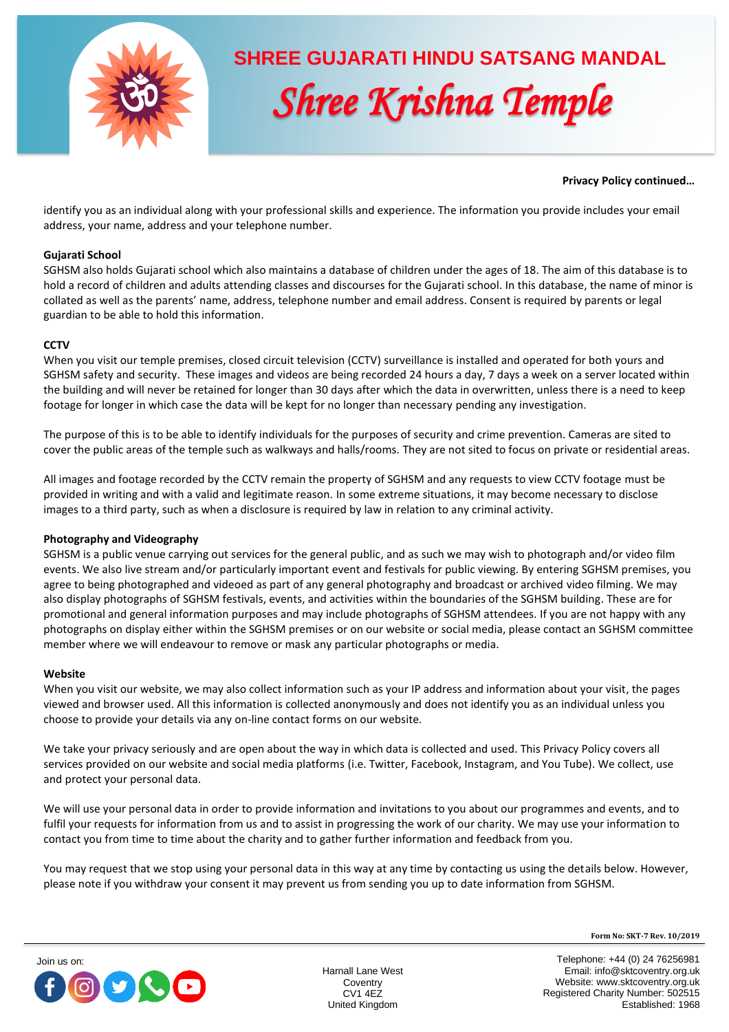

# **SHREE GUJARATI HINDU SATSANG MANDAL**  *Shree Krishna Temple*

# **Privacy Policy continued…**

identify you as an individual along with your professional skills and experience. The information you provide includes your email address, your name, address and your telephone number.

# **Gujarati School**

SGHSM also holds Gujarati school which also maintains a database of children under the ages of 18. The aim of this database is to hold a record of children and adults attending classes and discourses for the Gujarati school. In this database, the name of minor is collated as well as the parents' name, address, telephone number and email address. Consent is required by parents or legal guardian to be able to hold this information.

# **CCTV**

When you visit our temple premises, closed circuit television (CCTV) surveillance is installed and operated for both yours and SGHSM safety and security. These images and videos are being recorded 24 hours a day, 7 days a week on a server located within the building and will never be retained for longer than 30 days after which the data in overwritten, unless there is a need to keep footage for longer in which case the data will be kept for no longer than necessary pending any investigation.

The purpose of this is to be able to identify individuals for the purposes of security and crime prevention. Cameras are sited to cover the public areas of the temple such as walkways and halls/rooms. They are not sited to focus on private or residential areas.

All images and footage recorded by the CCTV remain the property of SGHSM and any requests to view CCTV footage must be provided in writing and with a valid and legitimate reason. In some extreme situations, it may become necessary to disclose images to a third party, such as when a disclosure is required by law in relation to any criminal activity.

# **Photography and Videography**

SGHSM is a public venue carrying out services for the general public, and as such we may wish to photograph and/or video film events. We also live stream and/or particularly important event and festivals for public viewing. By entering SGHSM premises, you agree to being photographed and videoed as part of any general photography and broadcast or archived video filming. We may also display photographs of SGHSM festivals, events, and activities within the boundaries of the SGHSM building. These are for promotional and general information purposes and may include photographs of SGHSM attendees. If you are not happy with any photographs on display either within the SGHSM premises or on our website or social media, please contact an SGHSM committee member where we will endeavour to remove or mask any particular photographs or media.

# **Website**

When you visit our website, we may also collect information such as your IP address and information about your visit, the pages viewed and browser used. All this information is collected anonymously and does not identify you as an individual unless you choose to provide your details via any on-line contact forms on our website.

We take your privacy seriously and are open about the way in which data is collected and used. This Privacy Policy covers all services provided on our website and social media platforms (i.e. Twitter, Facebook, Instagram, and You Tube). We collect, use and protect your personal data.

We will use your personal data in order to provide information and invitations to you about our programmes and events, and to fulfil your requests for information from us and to assist in progressing the work of our charity. We may use your information to contact you from time to time about the charity and to gather further information and feedback from you.

You may request that we stop using your personal data in this way at any time by contacting us using the details below. However, please note if you withdraw your consent it may prevent us from sending you up to date information from SGHSM.



Harnall Lane West **Coventry** CV1 4EZ United Kingdom

**Form No: SKT-7 Rev. 10/2019**

Telephone: +44 (0) 24 76256981 Email: info@sktcoventry.org.uk Website: www.sktcoventry.org.uk Registered Charity Number: 502515 Established: 1968